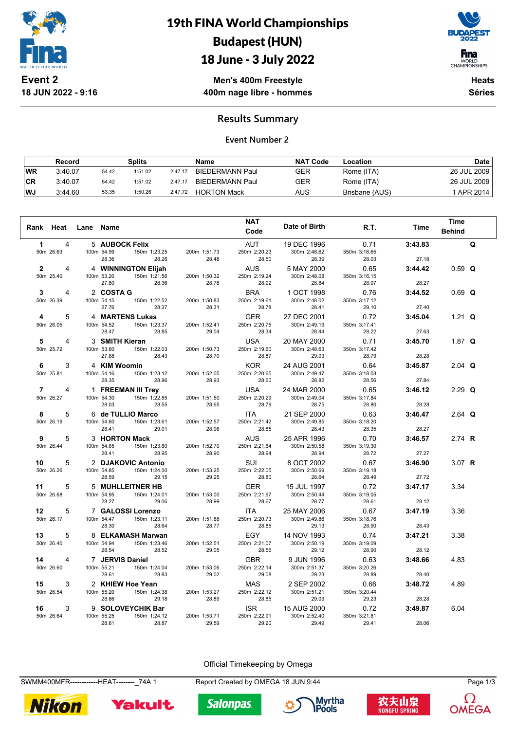

19th FINA World Championships Budapest (HUN)

# 18 June - 3 July 2022



WORLD<br>CHAMPIONSHIPS

**18 JUN 2022 - 9:16**

### **Men's 400m Freestyle 400m nage libre - hommes**

**Heats Séries**

## **Results Summary**

#### **Event Number 2**

|           | Record  |       | Splits  |         | Name                   | <b>NAT Code</b> | Location       | <b>Date</b> |
|-----------|---------|-------|---------|---------|------------------------|-----------------|----------------|-------------|
| <b>WR</b> | 3:40.07 | 54.42 | 1:51.02 | 2:47.17 | <b>BIEDERMANN Paul</b> | GER             | Rome (ITA)     | 26 JUL 2009 |
| <b>CR</b> | 3:40.07 | 54.42 | 1:51.02 | 2:47.17 | <b>BIEDERMANN Paul</b> | GER             | Rome (ITA)     | 26 JUL 2009 |
| WJ        | 3.44.60 | 53.35 | 1:50.26 | 2:47.72 | <b>HORTON Mack</b>     | AUS             | Brisbane (AUS) | APR 2014    |

| Rank Heat                        | Lane Name                                  |                                                | <b>NAT</b><br>Code                  | Date of Birth                        | R.T.                          | Time             | <b>Time</b><br><b>Behind</b> |   |
|----------------------------------|--------------------------------------------|------------------------------------------------|-------------------------------------|--------------------------------------|-------------------------------|------------------|------------------------------|---|
| $\mathbf{1}$<br>4<br>50m 26.63   | 5 AUBOCK Felix<br>100m 54.99<br>28.36      | 150m 1:23.25<br>200m 1:51.73<br>28.26<br>28.48 | <b>AUT</b><br>250m 2:20.23<br>28.50 | 19 DEC 1996<br>300m 2:48.62<br>28.39 | 0.71<br>350m 3:16.65<br>28.03 | 3:43.83<br>27.18 |                              | Q |
| $\mathbf{2}$<br>4<br>50m 25.40   | 4 WINNINGTON Elijah<br>100m 53.20<br>27.80 | 150m 1:21.56<br>200m 1:50.32<br>28.36<br>28.76 | <b>AUS</b><br>250m 2:19.24<br>28.92 | 5 MAY 2000<br>300m 2:48.08<br>28.84  | 0.65<br>350m 3:16.15<br>28.07 | 3:44.42<br>28.27 | $0.59$ Q                     |   |
| 3<br>4<br>50m 26.39              | 2 COSTA G<br>100m 54.15<br>27.76           | 150m 1:22.52<br>200m 1:50.83<br>28.37<br>28.31 | <b>BRA</b><br>250m 2:19.61<br>28.78 | 1 OCT 1998<br>300m 2:48.02<br>28.41  | 0.76<br>350m 3:17.12<br>29.10 | 3:44.52<br>27.40 | $0.69$ Q                     |   |
| 5<br>4<br>50m 26.05              | 4 MARTENS Lukas<br>100m 54.52<br>28.47     | 150m 1:23.37<br>200m 1:52.41<br>28.85<br>29.04 | <b>GER</b><br>250m 2:20.75<br>28.34 | 27 DEC 2001<br>300m 2:49.19<br>28.44 | 0.72<br>350m 3:17.41<br>28.22 | 3:45.04<br>27.63 | 1.21 Q                       |   |
| 5<br>4<br>50m 25.72              | 3 SMITH Kieran<br>100m 53.60<br>27.88      | 150m 1:22.03<br>200m 1:50.73<br>28.43<br>28.70 | <b>USA</b><br>250m 2:19.60<br>28.87 | 20 MAY 2000<br>300m 2:48.63<br>29.03 | 0.71<br>350m 3:17.42<br>28.79 | 3:45.70<br>28.28 | 1.87 Q                       |   |
| 6<br>3<br>50m 25.81              | 4 KIM Woomin<br>100m 54.16<br>28.35        | 150m 1:23.12<br>200m 1:52.05<br>28.96<br>28.93 | <b>KOR</b><br>250m 2:20.65<br>28.60 | 24 AUG 2001<br>300m 2:49.47<br>28.82 | 0.64<br>350m 3:18.03<br>28.56 | 3:45.87<br>27.84 | 2.04 $Q$                     |   |
| $\overline{7}$<br>4<br>50m 26.27 | 1 FREEMAN III Trey<br>100m 54.30<br>28.03  | 150m 1:22.85<br>200m 1:51.50<br>28.55<br>28.65 | <b>USA</b><br>250m 2:20.29<br>28.79 | 24 MAR 2000<br>300m 2:49.04<br>28.75 | 0.65<br>350m 3:17.84<br>28.80 | 3:46.12<br>28.28 | $2.29$ Q                     |   |
| 8<br>5<br>50m 26.19              | 6 de TULLIO Marco<br>100m 54.60<br>28.41   | 150m 1:23.61<br>200m 1:52.57<br>29.01<br>28.96 | <b>ITA</b><br>250m 2:21.42<br>28.85 | 21 SEP 2000<br>300m 2:49.85<br>28.43 | 0.63<br>350m 3:18.20<br>28.35 | 3:46.47<br>28.27 | 2.64 $Q$                     |   |
| 5<br>9<br>50m 26.44              | 3 HORTON Mack<br>100m 54.85<br>28.41       | 150m 1:23.80<br>200m 1:52.70<br>28.95<br>28.90 | <b>AUS</b><br>250m 2:21.64<br>28.94 | 25 APR 1996<br>300m 2:50.58<br>28.94 | 0.70<br>350m 3:19.30<br>28.72 | 3:46.57<br>27.27 | 2.74 $R$                     |   |
| 5<br>10<br>50m 26.26             | 2 DJAKOVIC Antonio<br>100m 54.85<br>28.59  | 150m 1:24.00<br>200m 1:53.25<br>29.15<br>29.25 | SUI<br>250m 2:22.05<br>28.80        | 8 OCT 2002<br>300m 2:50.69<br>28.64  | 0.67<br>350m 3:19.18<br>28.49 | 3:46.90<br>27.72 | 3.07 $R$                     |   |
| 11<br>5<br>50m 26.68             | 5 MUHLLEITNER HB<br>100m 54.95<br>28.27    | 150m 1:24.01<br>200m 1:53.00<br>29.06<br>28.99 | <b>GER</b><br>250m 2:21.67<br>28.67 | 15 JUL 1997<br>300m 2:50.44<br>28.77 | 0.72<br>350m 3:19.05<br>28.61 | 3:47.17<br>28.12 | 3.34                         |   |
| 12<br>5<br>50m 26.17             | 7 GALOSSI Lorenzo<br>100m 54.47<br>28.30   | 150m 1:23.11<br>200m 1:51.88<br>28.64<br>28.77 | <b>ITA</b><br>250m 2:20.73<br>28.85 | 25 MAY 2006<br>300m 2:49.86<br>29.13 | 0.67<br>350m 3:18.76<br>28.90 | 3:47.19<br>28.43 | 3.36                         |   |
| 13<br>5<br>50m 26.40             | 8 ELKAMASH Marwan<br>100m 54.94<br>28.54   | 150m 1:23.46<br>200m 1:52.51<br>28.52<br>29.05 | <b>EGY</b><br>250m 2:21.07<br>28.56 | 14 NOV 1993<br>300m 2:50.19<br>29.12 | 0.74<br>350m 3:19.09<br>28.90 | 3:47.21<br>28.12 | 3.38                         |   |
| 14<br>4<br>50m 26.60             | 7 JERVIS Daniel<br>100m 55.21<br>28.61     | 150m 1:24.04<br>200m 1:53.06<br>29.02<br>28.83 | <b>GBR</b><br>250m 2:22.14<br>29.08 | 9 JUN 1996<br>300m 2:51.37<br>29.23  | 0.63<br>350m 3:20.26<br>28.89 | 3:48.66<br>28.40 | 4.83                         |   |
| 15<br>3<br>50m 26.54             | 2 KHIEW Hoe Yean<br>100m 55.20<br>28.66    | 150m 1:24.38<br>200m 1:53.27<br>29.18<br>28.89 | <b>MAS</b><br>250m 2:22.12<br>28.85 | 2 SEP 2002<br>300m 2:51.21<br>29.09  | 0.66<br>350m 3:20.44<br>29.23 | 3:48.72<br>28.28 | 4.89                         |   |
| 16<br>3<br>50m 26.64             | 9 SOLOVEYCHIK Bar<br>100m 55.25<br>28.61   | 150m 1:24.12<br>200m 1:53.71<br>28.87<br>29.59 | <b>ISR</b><br>250m 2:22.91<br>29.20 | 15 AUG 2000<br>300m 2:52.40<br>29.49 | 0.72<br>350m 3:21.81<br>29.41 | 3:49.87<br>28.06 | 6.04                         |   |

#### Official Timekeeping by Omega

SWMM400MFR------------HEAT--------\_74A 1 Report Created by OMEGA 18 JUN 9:44 Page 1/3



Yakult **Salonpas** 





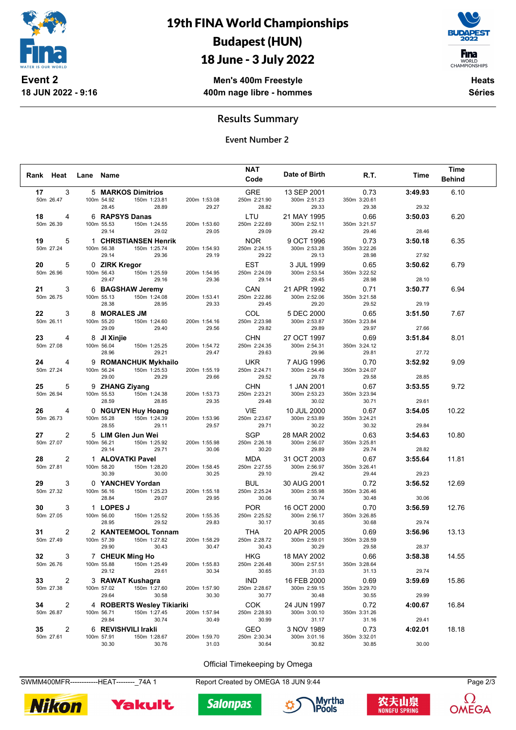

**18 JUN 2022 - 9:16**

19th FINA World Championships Budapest (HUN)

## 18 June - 3 July 2022

**F**ina WORLD<br>CHAMPIONSHIPS

**Men's 400m Freestyle 400m nage libre - hommes**

**Heats Séries**

## **Results Summary**

**Event Number 2**

|                 | Rank Heat Lane Name |  |                                                          |                       | <b>NAT</b>                 |                             |                       | <b>Time</b> |               |
|-----------------|---------------------|--|----------------------------------------------------------|-----------------------|----------------------------|-----------------------------|-----------------------|-------------|---------------|
|                 |                     |  |                                                          |                       | Code                       | Date of Birth               | R.T.                  | Time        | <b>Behind</b> |
|                 |                     |  |                                                          |                       |                            |                             |                       |             |               |
| 17<br>50m 26.47 | 3                   |  | 5 MARKOS Dimitrios<br>100m 54.92<br>150m 1:23.81         | 200m 1:53.08          | <b>GRE</b><br>250m 2:21.90 | 13 SEP 2001<br>300m 2:51.23 | 0.73<br>350m 3:20.61  | 3:49.93     | 6.10          |
|                 |                     |  | 28.89<br>28.45                                           | 29.27                 | 28.82                      | 29.33                       | 29.38                 | 29.32       |               |
| 18              | 4                   |  | 6 RAPSYS Danas                                           |                       | LTU                        | 21 MAY 1995                 | 0.66                  | 3:50.03     | 6.20          |
| 50m 26.39       |                     |  | 100m 55.53<br>150m 1:24.55                               | 200m 1:53.60          | 250m 2:22.69               | 300m 2:52.11                | 350m 3:21.57          |             |               |
|                 |                     |  | 29.02<br>29.14                                           | 29.05                 | 29.09                      | 29.42                       | 29.46                 | 28.46       |               |
| 19              | 5                   |  | 1 CHRISTIANSEN Henrik                                    |                       | <b>NOR</b>                 | 9 OCT 1996                  | 0.73                  | 3:50.18     | 6.35          |
| 50m 27.24       |                     |  | 100m 56.38<br>150m 1:25.74                               | 200m 1:54.93          | 250m 2:24.15               | 300m 2:53.28                | 350m 3:22.26          |             |               |
|                 |                     |  | 29.14<br>29.36                                           | 29.19                 | 29.22                      | 29.13                       | 28.98                 | 27.92       |               |
| 20              | 5                   |  | 0 ZIRK Kregor                                            |                       | <b>EST</b>                 | 3 JUL 1999                  | 0.65                  | 3:50.62     | 6.79          |
| 50m 26.96       |                     |  | 150m 1:25.59<br>100m 56.43<br>29.16<br>29.47             | 200m 1:54.95<br>29.36 | 250m 2:24.09<br>29.14      | 300m 2:53.54<br>29.45       | 350m 3:22.52<br>28.98 | 28.10       |               |
|                 | 3                   |  | 6 BAGSHAW Jeremy                                         |                       | CAN                        | 21 APR 1992                 | 0.71                  |             |               |
| 21<br>50m 26.75 |                     |  | 100m 55.13<br>150m 1:24.08                               | 200m 1:53.41          | 250m 2:22.86               | 300m 2:52.06                | 350m 3:21.58          | 3:50.77     | 6.94          |
|                 |                     |  | 28.38<br>28.95                                           | 29.33                 | 29.45                      | 29.20                       | 29.52                 | 29.19       |               |
| 22              | 3                   |  | 8 MORALES JM                                             |                       | COL                        | 5 DEC 2000                  | 0.65                  | 3:51.50     | 7.67          |
|                 | 50m 26.11           |  | 100m 55.20<br>150m 1:24.60                               | 200m 1:54.16          | 250m 2:23.98               | 300m 2:53.87                | 350m 3:23.84          |             |               |
|                 |                     |  | 29.09<br>29.40                                           | 29.56                 | 29.82                      | 29.89                       | 29.97                 | 27.66       |               |
| 23              | 4                   |  | 8 JI Xinjie                                              |                       | <b>CHN</b>                 | 27 OCT 1997                 | 0.69                  | 3:51.84     | 8.01          |
| 50m 27.08       |                     |  | 100m 56.04<br>150m 1:25.25                               | 200m 1:54.72          | 250m 2:24.35               | 300m 2:54.31                | 350m 3:24.12          |             |               |
|                 |                     |  | 29.21<br>28.96                                           | 29.47                 | 29.63                      | 29.96                       | 29.81                 | 27.72       |               |
| 24              | 4                   |  | 9 ROMANCHUK Mykhailo                                     |                       | <b>UKR</b>                 | 7 AUG 1996                  | 0.70                  | 3:52.92     | 9.09          |
| 50m 27.24       |                     |  | 150m 1:25.53<br>100m 56.24<br>29.00<br>29.29             | 200m 1:55.19<br>29.66 | 250m 2:24.71<br>29.52      | 300m 2:54.49<br>29.78       | 350m 3:24.07<br>29.58 | 28.85       |               |
| 25              | 5                   |  | 9 ZHANG Ziyang                                           |                       | <b>CHN</b>                 | 1 JAN 2001                  | 0.67                  | 3:53.55     | 9.72          |
| 50m 26.94       |                     |  | 150m 1:24.38<br>100m 55.53                               | 200m 1:53.73          | 250m 2:23.21               | 300m 2:53.23                | 350m 3:23.94          |             |               |
|                 |                     |  | 28.85<br>28.59                                           | 29.35                 | 29.48                      | 30.02                       | 30.71                 | 29.61       |               |
| 26              | 4                   |  | 0 NGUYEN Huy Hoang                                       |                       | <b>VIE</b>                 | 10 JUL 2000                 | 0.67                  | 3:54.05     | 10.22         |
| 50m 26.73       |                     |  | 150m 1:24.39<br>100m 55.28                               | 200m 1:53.96          | 250m 2:23.67               | 300m 2:53.89                | 350m 3:24.21          |             |               |
|                 |                     |  | 28.55<br>29.11                                           | 29.57                 | 29.71                      | 30.22                       | 30.32                 | 29.84       |               |
| 27              | 2                   |  | 5 LIM Glen Jun Wei                                       |                       | SGP                        | 28 MAR 2002                 | 0.63                  | 3:54.63     | 10.80         |
| 50m 27.07       |                     |  | 100m 56.21<br>150m 1:25.92<br>29.71<br>29.14             | 200m 1:55.98<br>30.06 | 250m 2:26.18<br>30.20      | 300m 2:56.07<br>29.89       | 350m 3:25.81<br>29.74 | 28.82       |               |
| 28              | 2                   |  | 1 ALOVATKI Pavel                                         |                       | MDA                        | 31 OCT 2003                 | 0.67                  | 3:55.64     | 11.81         |
| 50m 27.81       |                     |  | 100m 58.20<br>150m 1:28.20                               | 200m 1:58.45          | 250m 2:27.55               | 300m 2:56.97                | 350m 3:26.41          |             |               |
|                 |                     |  | 30.39<br>30.00                                           | 30.25                 | 29.10                      | 29.42                       | 29.44                 | 29.23       |               |
| 29              | 3                   |  | 0 YANCHEV Yordan                                         |                       | <b>BUL</b>                 | 30 AUG 2001                 | 0.72                  | 3:56.52     | 12.69         |
| 50m 27.32       |                     |  | 100m 56.16<br>150m 1:25.23                               | 200m 1:55.18          | 250m 2:25.24               | 300m 2:55.98                | 350m 3:26.46          |             |               |
|                 |                     |  | 28.84<br>29.07                                           | 29.95                 | 30.06                      | 30.74                       | 30.48                 | 30.06       |               |
| 30              | 3                   |  | 1 LOPES J                                                |                       | <b>POR</b>                 | 16 OCT 2000                 | 0.70                  | 3:56.59     | 12.76         |
| 50m 27.05       |                     |  | 100m 56.00<br>150m 1:25.52<br>28.95<br>29.52             | 200m 1:55.35<br>29.83 | 250m 2:25.52<br>30.17      | 300m 2:56.17                | 350m 3:26.85          |             |               |
|                 |                     |  | 2 KANTEEMOOL Tonnam                                      |                       |                            | 30.65                       | 30.68                 | 29.74       |               |
| 31<br>50m 27.49 | 2                   |  | 100m 57.39<br>150m 1:27.82                               | 200m 1:58.29          | THA<br>250m 2:28.72        | 20 APR 2005<br>300m 2:59.01 | 0.69<br>350m 3:28.59  | 3:56.96     | 13.13         |
|                 |                     |  | 29.90<br>30.43                                           | 30.47                 | 30.43                      | 30.29                       | 29.58                 | 28.37       |               |
| 32              | 3                   |  | 7 CHEUK Ming Ho                                          |                       | <b>HKG</b>                 | 18 MAY 2002                 | 0.66                  | 3:58.38     | 14.55         |
| 50m 26.76       |                     |  | 100m 55.88<br>150m 1:25.49                               | 200m 1:55.83          | 250m 2:26.48               | 300m 2:57.51                | 350m 3:28.64          |             |               |
|                 |                     |  | 29.12<br>29.61                                           | 30.34                 | 30.65                      | 31.03                       | 31.13                 | 29.74       |               |
| 33              | 2                   |  | 3 RAWAT Kushagra                                         |                       | <b>IND</b>                 | 16 FEB 2000                 | 0.69                  | 3:59.69     | 15.86         |
| 50m 27.38       |                     |  | 150m 1:27.60<br>100m 57.02                               | 200m 1:57.90          | 250m 2:28.67               | 300m 2:59.15                | 350m 3:29.70          |             |               |
|                 |                     |  | 29.64<br>30.58                                           | 30.30                 | 30.77                      | 30.48                       | 30.55                 | 29.99       |               |
| 34<br>50m 26.87 | 2                   |  | 4 ROBERTS Wesley Tikiariki<br>150m 1:27.45<br>100m 56.71 | 200m 1:57.94          | COK<br>250m 2:28.93        | 24 JUN 1997<br>300m 3:00.10 | 0.72<br>350m 3:31.26  | 4:00.67     | 16.84         |
|                 |                     |  | 29.84<br>30.74                                           | 30.49                 | 30.99                      | 31.17                       | 31.16                 | 29.41       |               |
| 35              | 2                   |  | 6 REVISHVILI Irakli                                      |                       | GEO                        | 3 NOV 1989                  | 0.73                  | 4:02.01     | 18.18         |
| 50m 27.61       |                     |  | 100m 57.91<br>150m 1:28.67                               | 200m 1:59.70          | 250m 2:30.34               | 300m 3:01.16                | 350m 3:32.01          |             |               |
|                 |                     |  | 30.30<br>30.76                                           | 31.03                 | 30.64                      | 30.82                       | 30.85                 | 30.00       |               |

Official Timekeeping by Omega

SWMM400MFR------------HEAT--------\_74A 1 Report Created by OMEGA 18 JUN 9:44 Page 2/3